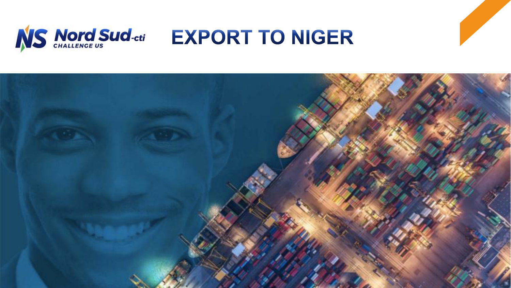

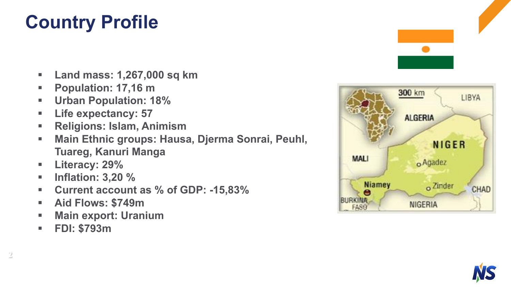# **Country Profile**

- § **Land mass: 1,267,000 sq km**
- § **Population: 17,16 m**
- § **Urban Population: 18%**
- § **Life expectancy: 57**
- § **Religions: Islam, Animism**
- § **Main Ethnic groups: Hausa, Djerma Sonrai, Peuhl, Tuareg, Kanuri Manga**
- § **Literacy: 29%**
- § **Inflation: 3,20 %**
- § **Current account as % of GDP: -15,83%**
- § **Aid Flows: \$749m**
- § **Main export: Uranium**
- § **FDI: \$793m**





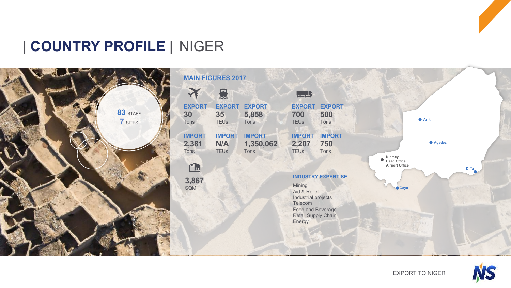### | **COUNTRY PROFILE** | NIGER



|                                | <b>MAIN FIGURES 2017</b>                                                              |                                    |                                                    |                              |                       |         |              |
|--------------------------------|---------------------------------------------------------------------------------------|------------------------------------|----------------------------------------------------|------------------------------|-----------------------|---------|--------------|
|                                | 复                                                                                     |                                    |                                                    |                              |                       |         |              |
| <b>EXPORT</b><br>30<br>Tons    | <b>EXPORT</b><br>35<br><b>TEUs</b>                                                    | <b>EXPORT</b><br>5,858<br>Tons     | <b>EXPORT</b><br>700<br><b>TEUs</b>                | <b>EXPORT</b><br>500<br>Tons |                       | ● Arlit |              |
| <b>IMPORT</b><br>2,381<br>Tons | <b>IMPORT</b><br>N/A<br><b>TEUs</b>                                                   | <b>IMPORT</b><br>1,350,062<br>Tons | <b>IMPORT</b><br>2,207<br><b>TEUs</b>              | <b>IMPORT</b><br>750<br>Tons | Niamey<br>Head Office | Agadez  |              |
| <u>" 11</u>                    |                                                                                       |                                    |                                                    |                              | <b>Airport Office</b> |         | <b>Diffa</b> |
| 3,867<br>SQM                   | <b>INDUSTRY EXPERTISE</b><br>Mining<br>Aid & Relief<br>Industrial projects<br>Telecom |                                    |                                                    |                              | Gaya                  |         |              |
|                                |                                                                                       |                                    | Food and Beverage<br>Retail Supply Chain<br>Energy |                              |                       |         |              |
|                                |                                                                                       |                                    |                                                    |                              |                       |         |              |

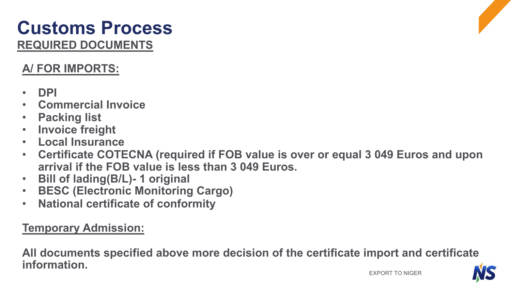### **REQUIRED DOCUMENTS Customs Process**

### **A/ FOR IMPORTS:**

- **DPI**
- **Commercial Invoice**
- **Packing list**
- **Invoice freight**
- **Local Insurance**
- **Certificate COTECNA (required if FOB value is over or equal 3 049 Euros and upon arrival if the FOB value is less than 3 049 Euros.**
- **Bill of lading(B/L)- 1 original**
- **BESC (Electronic Monitoring Cargo)**
- **National certificate of conformity**

### **Temporary Admission:**

**All documents specified above more decision of the certificate import and certificate information.** 

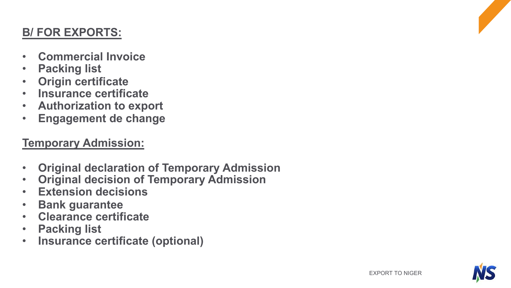#### **B/ FOR EXPORTS:**

- **Commercial Invoice**
- **Packing list**
- **Origin certificate**
- **Insurance certificate**
- **Authorization to export**
- **Engagement de change**

#### **Temporary Admission:**

- **Original declaration of Temporary Admission**
- **Original decision of Temporary Admission**
- **Extension decisions**
- **Bank guarantee**
- **Clearance certificate**
- **Packing list**
- **Insurance certificate (optional)**

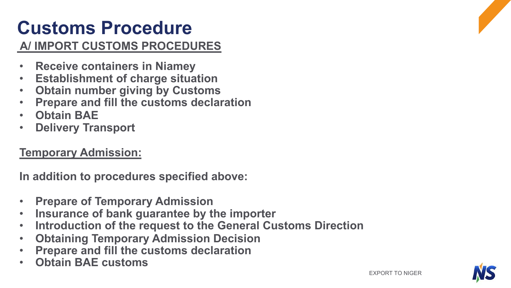# **Customs Procedure**

#### **A/ IMPORT CUSTOMS PROCEDURES**

- **Receive containers in Niamey**
- **Establishment of charge situation**
- **Obtain number giving by Customs**
- **Prepare and fill the customs declaration**
- **Obtain BAE**
- **Delivery Transport**

#### **Temporary Admission:**

**In addition to procedures specified above:** 

- **Prepare of Temporary Admission**
- **Insurance of bank guarantee by the importer**
- **Introduction of the request to the General Customs Direction**
- **Obtaining Temporary Admission Decision**
- **Prepare and fill the customs declaration**
- **Obtain BAE customs**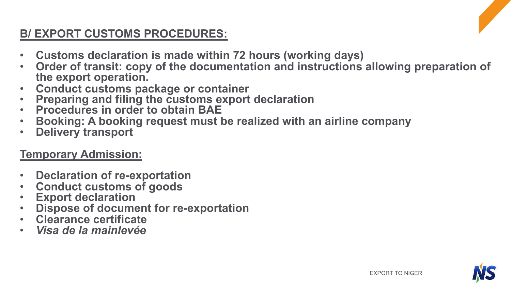### **B/ EXPORT CUSTOMS PROCEDURES:**

- **Customs declaration is made within 72 hours (working days)**
- **Order of transit: copy of the documentation and instructions allowing preparation of**
- **the export operation.**
- 
- 
- Preparing and filing the customs export declaration<br>• Procedures in order to obtain BAE<br>• Booking: A booking request must be realized with an airline company<br>• Delivery transport
- 

#### **Temporary Admission:**

- **Declaration of re-exportation**
- 
- 
- **Conduct customs of goods Export declaration Dispose of document for re-exportation Clearance certificate**  *Visa de la mainlevée*
- 
- 

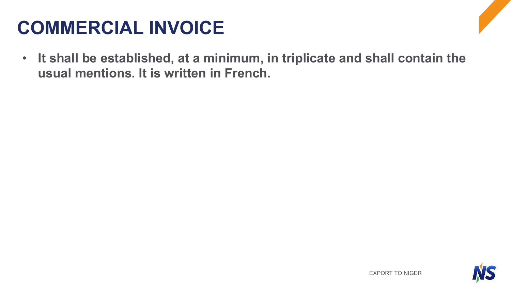# **COMMERCIAL INVOICE**

• **It shall be established, at a minimum, in triplicate and shall contain the usual mentions. It is written in French.**

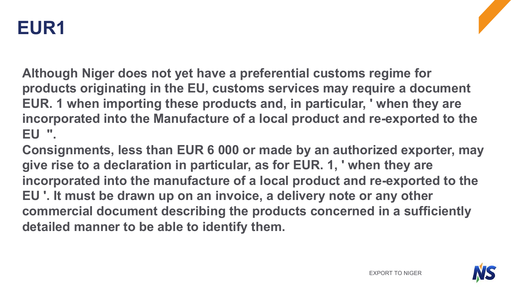

**Although Niger does not yet have a preferential customs regime for products originating in the EU, customs services may require a document EUR. 1 when importing these products and, in particular, ' when they are incorporated into the Manufacture of a local product and re-exported to the EU ".**

**Consignments, less than EUR 6 000 or made by an authorized exporter, may give rise to a declaration in particular, as for EUR. 1, ' when they are incorporated into the manufacture of a local product and re-exported to the EU '. It must be drawn up on an invoice, a delivery note or any other commercial document describing the products concerned in a sufficiently detailed manner to be able to identify them.**

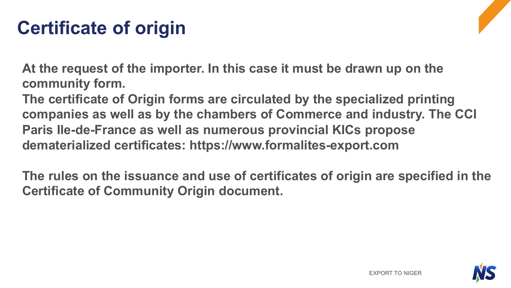# **Certificate of origin**

**At the request of the importer. In this case it must be drawn up on the community form.**

**The certificate of Origin forms are circulated by the specialized printing companies as well as by the chambers of Commerce and industry. The CCI Paris Ile-de-France as well as numerous provincial KICs propose dematerialized certificates: https://www.formalites-export.com**

**The rules on the issuance and use of certificates of origin are specified in the Certificate of Community Origin document.**

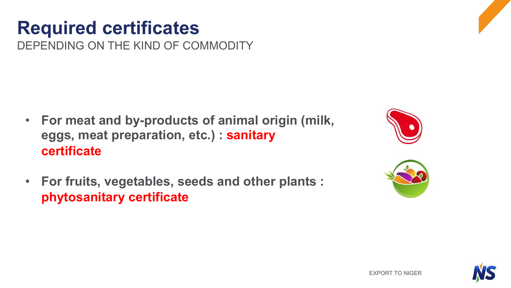# **Required certificates**

DEPENDING ON THE KIND OF COMMODITY

- **For meat and by-products of animal origin (milk, eggs, meat preparation, etc.) : sanitary certificate**
- **For fruits, vegetables, seeds and other plants : phytosanitary certificate**





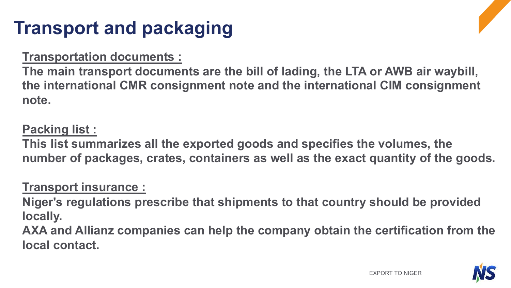# **Transport and packaging**

#### **Transportation documents :**

**The main transport documents are the bill of lading, the LTA or AWB air waybill, the international CMR consignment note and the international CIM consignment note.**

#### **Packing list :**

**This list summarizes all the exported goods and specifies the volumes, the number of packages, crates, containers as well as the exact quantity of the goods.** 

#### **Transport insurance :**

**Niger's regulations prescribe that shipments to that country should be provided locally.**

**AXA and Allianz companies can help the company obtain the certification from the local contact.**

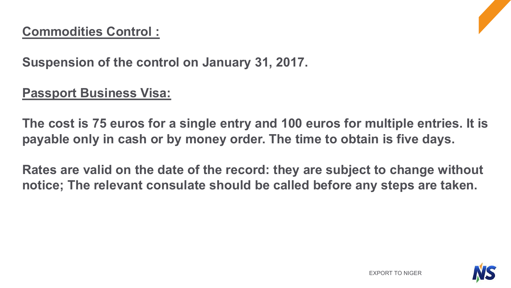### **Commodities Control :**



**Suspension of the control on January 31, 2017.**

### **Passport Business Visa:**

**The cost is 75 euros for a single entry and 100 euros for multiple entries. It is payable only in cash or by money order. The time to obtain is five days.**

**Rates are valid on the date of the record: they are subject to change without notice; The relevant consulate should be called before any steps are taken.**

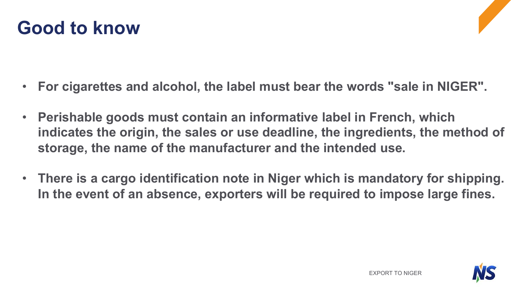



- **Perishable goods must contain an informative label in French, which indicates the origin, the sales or use deadline, the ingredients, the method of storage, the name of the manufacturer and the intended use.**
- **There is a cargo identification note in Niger which is mandatory for shipping. In the event of an absence, exporters will be required to impose large fines.**